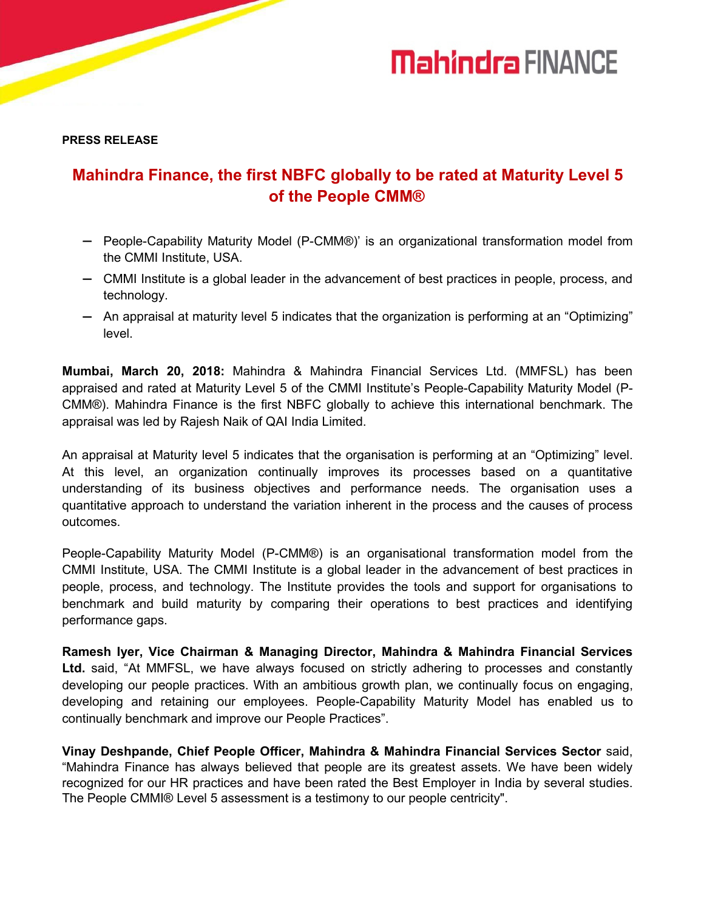# **Mahindra FINANCE**

**PRESS RELEASE**

### **Mahindra Finance, the first NBFC globally to be rated at Maturity Level 5 of the People CMM®**

- People-Capability Maturity Model (P-CMM®)' is an organizational transformation model from the CMMI Institute, USA.
- CMMI Institute is a global leader in the advancement of best practices in people, process, and technology.
- An appraisal at maturity level 5 indicates that the organization is performing at an "Optimizing" level.

**Mumbai, March 20, 2018:** Mahindra & Mahindra Financial Services Ltd. (MMFSL) has been appraised and rated at Maturity Level 5 of the CMMI Institute's People-Capability Maturity Model (P-CMM®). Mahindra Finance is the first NBFC globally to achieve this international benchmark. The appraisal was led by Rajesh Naik of QAI India Limited.

An appraisal at Maturity level 5 indicates that the organisation is performing at an "Optimizing" level. At this level, an organization continually improves its processes based on a quantitative understanding of its business objectives and performance needs. The organisation uses a quantitative approach to understand the variation inherent in the process and the causes of process outcomes.

People-Capability Maturity Model (P-CMM®) is an organisational transformation model from the CMMI Institute, USA. The CMMI Institute is a global leader in the advancement of best practices in people, process, and technology. The Institute provides the tools and support for organisations to benchmark and build maturity by comparing their operations to best practices and identifying performance gaps.

**Ramesh Iyer, Vice Chairman & Managing Director, Mahindra & Mahindra Financial Services Ltd.** said, "At MMFSL, we have always focused on strictly adhering to processes and constantly developing our people practices. With an ambitious growth plan, we continually focus on engaging, developing and retaining our employees. People-Capability Maturity Model has enabled us to continually benchmark and improve our People Practices".

**Vinay Deshpande, Chief People Officer, Mahindra & Mahindra Financial Services Sector** said, "Mahindra Finance has always believed that people are its greatest assets. We have been widely recognized for our HR practices and have been rated the Best Employer in India by several studies. The People CMMI® Level 5 assessment is a testimony to our people centricity".